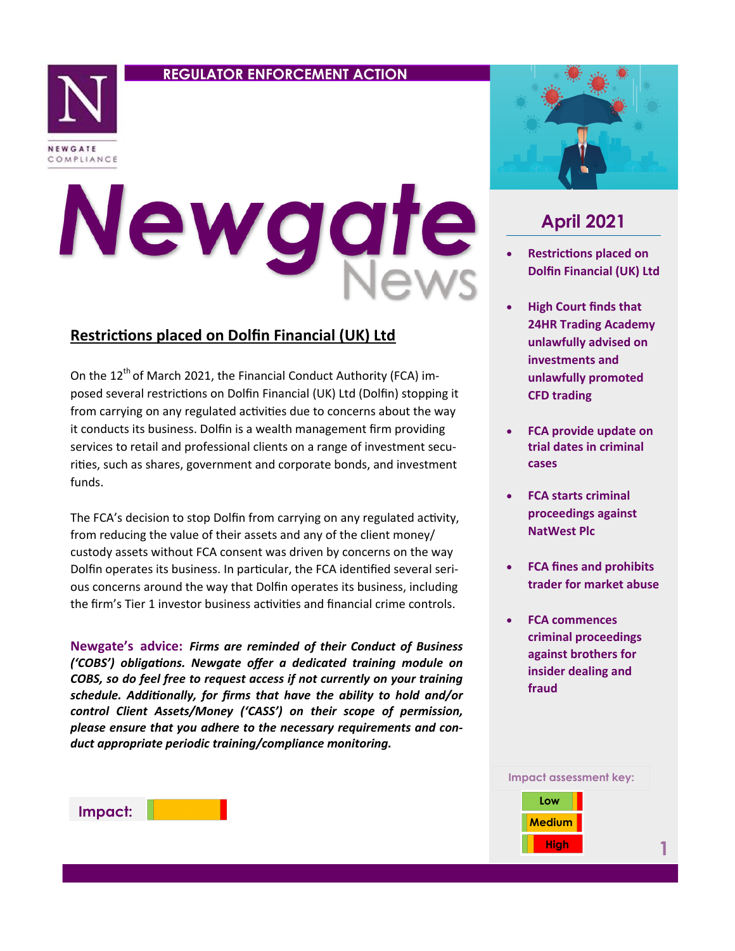## **REGULATOR ENFORCEMENT ACTION**



# Newgat

## **Restrictions placed on Dolfin Financial (UK) Ltd**

On the  $12^{th}$  of March 2021, the Financial Conduct Authority (FCA) imposed several restrictions on Dolfin Financial (UK) Ltd (Dolfin) stopping it from carrying on any regulated activities due to concerns about the way it conducts its business. Dolfin is a wealth management firm providing services to retail and professional clients on a range of investment securities, such as shares, government and corporate bonds, and investment funds.

The FCA's decision to stop Dolfin from carrying on any regulated activity, from reducing the value of their assets and any of the client money/ custody assets without FCA consent was driven by concerns on the way Dolfin operates its business. In particular, the FCA identified several serious concerns around the way that Dolfin operates its business, including the firm's Tier 1 investor business activities and financial crime controls.

**Newgate's advice:** *Firms are reminded of their Conduct of Business ('COBS') obligations. Newgate offer a dedicated training module on COBS, so do feel free to request access if not currently on your training schedule. Additionally, for firms that have the ability to hold and/or control Client Assets/Money ('CASS') on their scope of permission, please ensure that you adhere to the necessary requirements and conduct appropriate periodic training/compliance monitoring.* 



# **April 2021**

- **Restrictions placed on Dolfin Financial (UK) Ltd**
- **High Court finds that 24HR Trading Academy unlawfully advised on investments and unlawfully promoted CFD trading**
- **FCA provide update on trial dates in criminal cases**
- **FCA starts criminal proceedings against NatWest Plc**
- **FCA fines and prohibits trader for market abuse**
- **FCA commences criminal proceedings against brothers for insider dealing and fraud**



**Impact:**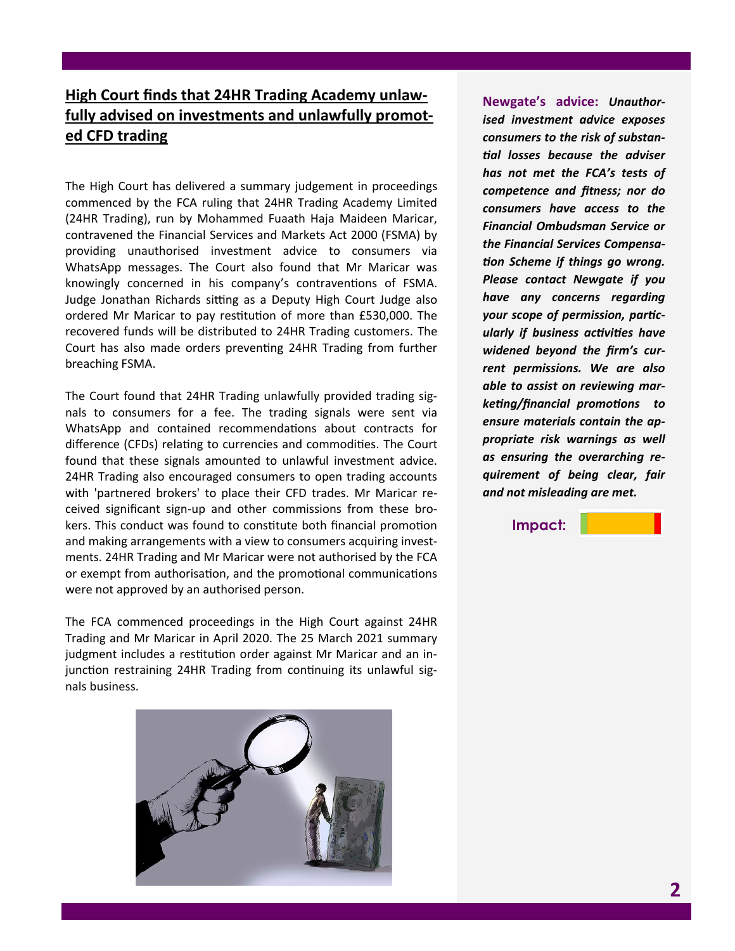# **High Court finds that 24HR Trading Academy unlawfully advised on investments and unlawfully promoted CFD trading**

The High Court has delivered a summary judgement in proceedings commenced by the FCA ruling that 24HR Trading Academy Limited (24HR Trading), run by Mohammed Fuaath Haja Maideen Maricar, contravened the Financial Services and Markets Act 2000 (FSMA) by providing unauthorised investment advice to consumers via WhatsApp messages. The Court also found that Mr Maricar was knowingly concerned in his company's contraventions of FSMA. Judge Jonathan Richards sitting as a Deputy High Court Judge also ordered Mr Maricar to pay restitution of more than £530,000. The recovered funds will be distributed to 24HR Trading customers. The Court has also made orders preventing 24HR Trading from further breaching FSMA.

The Court found that 24HR Trading unlawfully provided trading signals to consumers for a fee. The trading signals were sent via WhatsApp and contained recommendations about contracts for difference (CFDs) relating to currencies and commodities. The Court found that these signals amounted to unlawful investment advice. 24HR Trading also encouraged consumers to open trading accounts with 'partnered brokers' to place their CFD trades. Mr Maricar received significant sign-up and other commissions from these brokers. This conduct was found to constitute both financial promotion and making arrangements with a view to consumers acquiring investments. 24HR Trading and Mr Maricar were not authorised by the FCA or exempt from authorisation, and the promotional communications were not approved by an authorised person.

The FCA commenced proceedings in the High Court against 24HR Trading and Mr Maricar in April 2020. The 25 March 2021 summary judgment includes a restitution order against Mr Maricar and an injunction restraining 24HR Trading from continuing its unlawful signals business.



**Newgate's advice:** *Unauthorised investment advice exposes consumers to the risk of substantial losses because the adviser has not met the FCA's tests of competence and fitness; nor do consumers have access to the Financial Ombudsman Service or the Financial Services Compensation Scheme if things go wrong. Please contact Newgate if you have any concerns regarding your scope of permission, particularly if business activities have widened beyond the firm's current permissions. We are also able to assist on reviewing marketing/financial promotions to ensure materials contain the appropriate risk warnings as well as ensuring the overarching requirement of being clear, fair and not misleading are met.* 

**Impact:**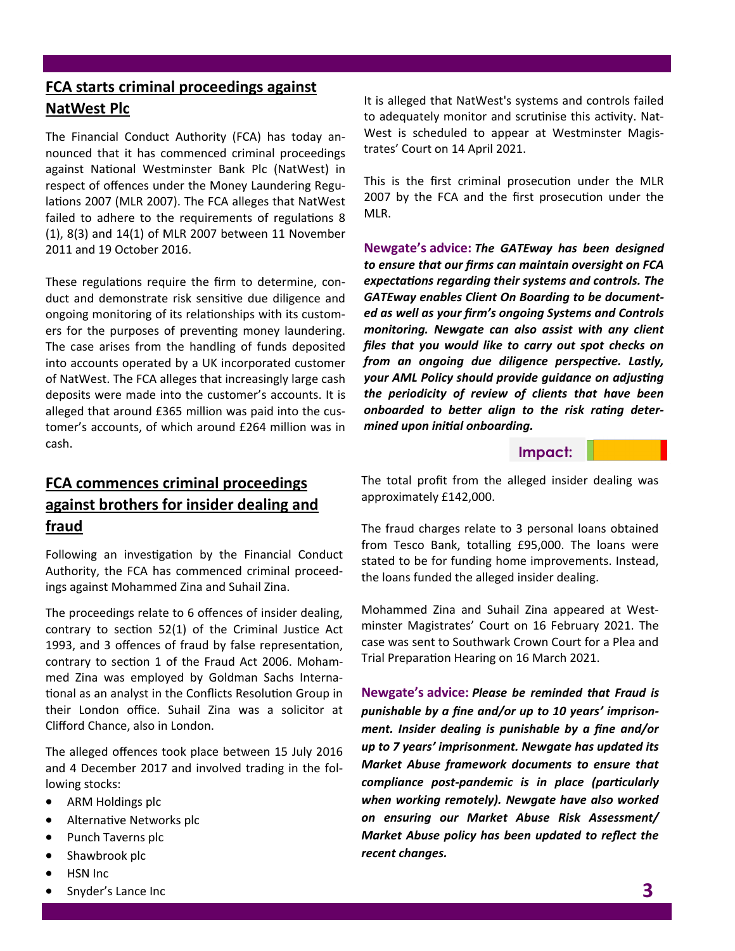# **FCA starts criminal proceedings against NatWest Plc**

The Financial Conduct Authority (FCA) has today announced that it has commenced criminal proceedings against National Westminster Bank Plc (NatWest) in respect of offences under the Money Laundering Regulations 2007 (MLR 2007). The FCA alleges that NatWest failed to adhere to the requirements of regulations 8 (1), 8(3) and 14(1) of MLR 2007 between 11 November 2011 and 19 October 2016.

These regulations require the firm to determine, conduct and demonstrate risk sensitive due diligence and ongoing monitoring of its relationships with its customers for the purposes of preventing money laundering. The case arises from the handling of funds deposited into accounts operated by a UK incorporated customer of NatWest. The FCA alleges that increasingly large cash deposits were made into the customer's accounts. It is alleged that around £365 million was paid into the customer's accounts, of which around £264 million was in cash.

It is alleged that NatWest's systems and controls failed to adequately monitor and scrutinise this activity. Nat-West is scheduled to appear at Westminster Magistrates' Court on 14 April 2021.

This is the first criminal prosecution under the MLR 2007 by the FCA and the first prosecution under the MLR.

**Newgate's advice:** *The GATEway has been designed to ensure that our firms can maintain oversight on FCA expectations regarding their systems and controls. The GATEway enables Client On Boarding to be documented as well as your firm's ongoing Systems and Controls monitoring. Newgate can also assist with any client files that you would like to carry out spot checks on from an ongoing due diligence perspective. Lastly, your AML Policy should provide guidance on adjusting the periodicity of review of clients that have been onboarded to better align to the risk rating determined upon initial onboarding.* 

#### **Impact:**

## **FCA commences criminal proceedings against brothers for insider dealing and fraud**

Following an investigation by the Financial Conduct Authority, the FCA has commenced criminal proceedings against Mohammed Zina and Suhail Zina.

The proceedings relate to 6 offences of insider dealing, contrary to section 52(1) of the Criminal Justice Act 1993, and 3 offences of fraud by false representation, contrary to section 1 of the Fraud Act 2006. Mohammed Zina was employed by Goldman Sachs International as an analyst in the Conflicts Resolution Group in their London office. Suhail Zina was a solicitor at Clifford Chance, also in London.

The alleged offences took place between 15 July 2016 and 4 December 2017 and involved trading in the following stocks:

- ARM Holdings plc
- Alternative Networks plc
- Punch Taverns plc
- Shawbrook plc
- HSN Inc
- Snyder's Lance Inc

The total profit from the alleged insider dealing was approximately £142,000.

The fraud charges relate to 3 personal loans obtained from Tesco Bank, totalling £95,000. The loans were stated to be for funding home improvements. Instead, the loans funded the alleged insider dealing.

Mohammed Zina and Suhail Zina appeared at Westminster Magistrates' Court on 16 February 2021. The case was sent to Southwark Crown Court for a Plea and Trial Preparation Hearing on 16 March 2021.

**Newgate's advice:** *Please be reminded that Fraud is punishable by a fine and/or up to 10 years' imprisonment. Insider dealing is punishable by a fine and/or up to 7 years' imprisonment. Newgate has updated its Market Abuse framework documents to ensure that compliance post-pandemic is in place (particularly when working remotely). Newgate have also worked on ensuring our Market Abuse Risk Assessment/ Market Abuse policy has been updated to reflect the recent changes.*